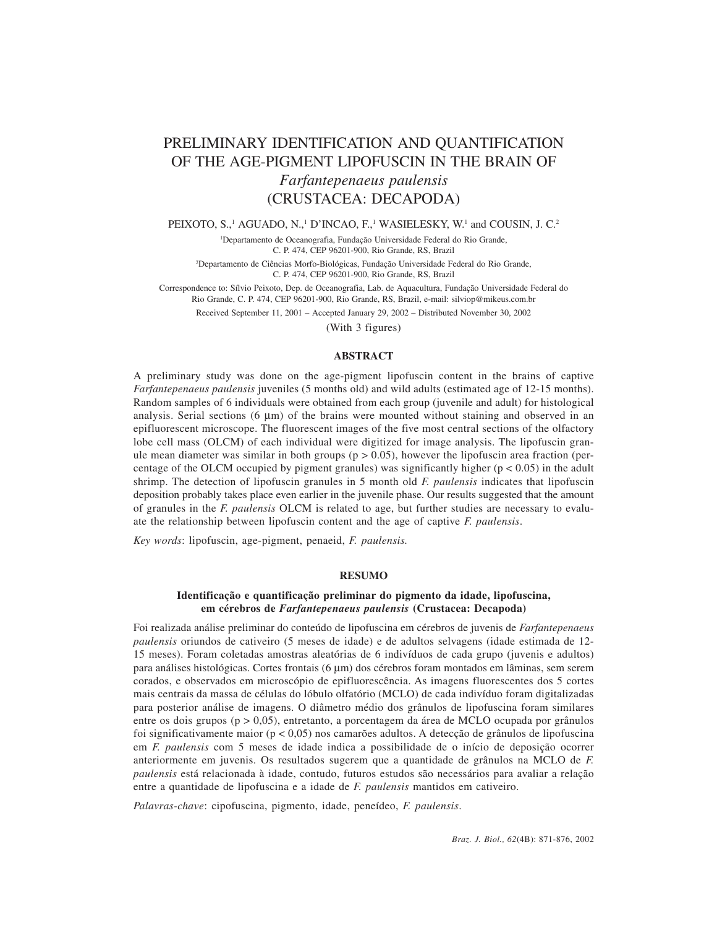# PRELIMINARY IDENTIFICATION AND QUANTIFICATION OF THE AGE-PIGMENT LIPOFUSCIN IN THE BRAIN OF *Farfantepenaeus paulensis* (CRUSTACEA: DECAPODA)

PEIXOTO, S.,<sup>1</sup> AGUADO, N.,<sup>1</sup> D'INCAO, F.,<sup>1</sup> WASIELESKY, W.<sup>1</sup> and COUSIN, J. C.<sup>2</sup>

<sup>1</sup>Departamento de Oceanografia, Fundação Universidade Federal do Rio Grande, C. P. 474, CEP 96201-900, Rio Grande, RS, Brazil

2 Departamento de Ciências Morfo-Biológicas, Fundação Universidade Federal do Rio Grande, C. P. 474, CEP 96201-900, Rio Grande, RS, Brazil

Correspondence to: Sílvio Peixoto, Dep. de Oceanografia, Lab. de Aquacultura, Fundação Universidade Federal do Rio Grande, C. P. 474, CEP 96201-900, Rio Grande, RS, Brazil, e-mail: silviop@mikeus.com.br

Received September 11, 2001 – Accepted January 29, 2002 – Distributed November 30, 2002

(With 3 figures)

### **ABSTRACT**

A preliminary study was done on the age-pigment lipofuscin content in the brains of captive *Farfantepenaeus paulensis* juveniles (5 months old) and wild adults (estimated age of 12-15 months). Random samples of 6 individuals were obtained from each group (juvenile and adult) for histological analysis. Serial sections  $(6 \mu m)$  of the brains were mounted without staining and observed in an epifluorescent microscope. The fluorescent images of the five most central sections of the olfactory lobe cell mass (OLCM) of each individual were digitized for image analysis. The lipofuscin granule mean diameter was similar in both groups ( $p > 0.05$ ), however the lipofuscin area fraction (percentage of the OLCM occupied by pigment granules) was significantly higher  $(p < 0.05)$  in the adult shrimp. The detection of lipofuscin granules in 5 month old *F. paulensis* indicates that lipofuscin deposition probably takes place even earlier in the juvenile phase. Our results suggested that the amount of granules in the *F. paulensis* OLCM is related to age, but further studies are necessary to evaluate the relationship between lipofuscin content and the age of captive *F. paulensis*.

*Key words*: lipofuscin, age-pigment, penaeid, *F. paulensis.*

### **RESUMO**

## **Identificação e quantificação preliminar do pigmento da idade, lipofuscina, em cérebros de** *Farfantepenaeus paulensis* **(Crustacea: Decapoda)**

Foi realizada análise preliminar do conteúdo de lipofuscina em cérebros de juvenis de *Farfantepenaeus paulensis* oriundos de cativeiro (5 meses de idade) e de adultos selvagens (idade estimada de 12- 15 meses). Foram coletadas amostras aleatórias de 6 indivíduos de cada grupo (juvenis e adultos) para análises histológicas. Cortes frontais (6 µm) dos cérebros foram montados em lâminas, sem serem corados, e observados em microscópio de epifluorescência. As imagens fluorescentes dos 5 cortes mais centrais da massa de células do lóbulo olfatório (MCLO) de cada indivíduo foram digitalizadas para posterior análise de imagens. O diâmetro médio dos grânulos de lipofuscina foram similares entre os dois grupos (p > 0,05), entretanto, a porcentagem da área de MCLO ocupada por grânulos foi significativamente maior ( $p < 0.05$ ) nos camarões adultos. A detecção de grânulos de lipofuscina em *F. paulensis* com 5 meses de idade indica a possibilidade de o início de deposição ocorrer anteriormente em juvenis. Os resultados sugerem que a quantidade de grânulos na MCLO de *F. paulensis* está relacionada à idade, contudo, futuros estudos são necessários para avaliar a relação entre a quantidade de lipofuscina e a idade de *F. paulensis* mantidos em cativeiro.

*Palavras-chave*: cipofuscina, pigmento, idade, peneídeo, *F. paulensis*.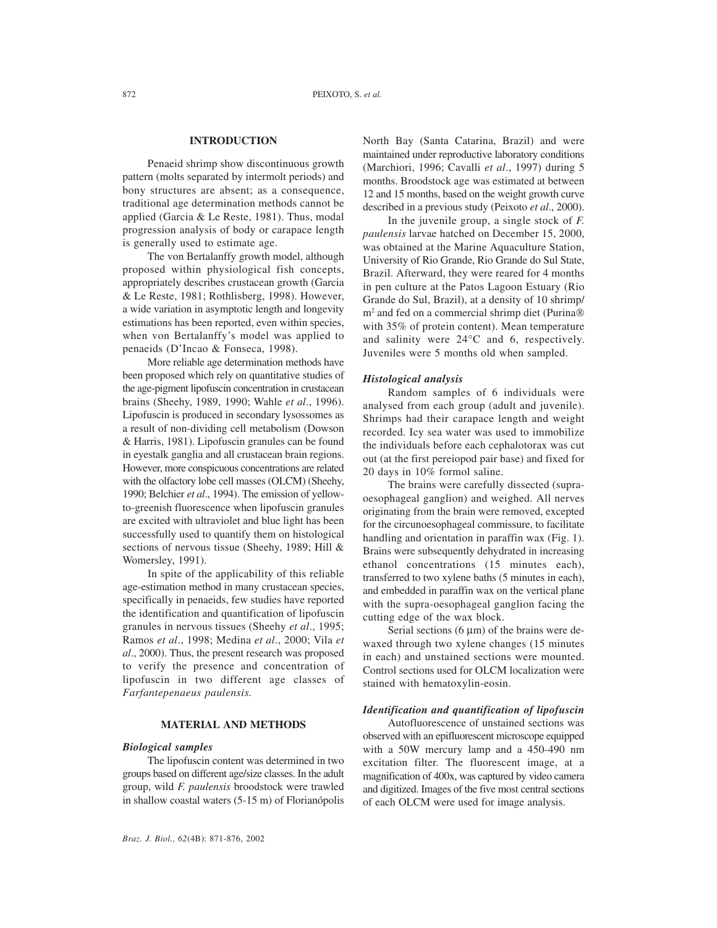# **INTRODUCTION**

Penaeid shrimp show discontinuous growth pattern (molts separated by intermolt periods) and bony structures are absent; as a consequence, traditional age determination methods cannot be applied (Garcia & Le Reste, 1981). Thus, modal progression analysis of body or carapace length is generally used to estimate age.

The von Bertalanffy growth model, although proposed within physiological fish concepts, appropriately describes crustacean growth (Garcia & Le Reste, 1981; Rothlisberg, 1998). However, a wide variation in asymptotic length and longevity estimations has been reported, even within species, when von Bertalanffy's model was applied to penaeids (D'Incao & Fonseca, 1998).

More reliable age determination methods have been proposed which rely on quantitative studies of the age-pigment lipofuscin concentration in crustacean brains (Sheehy, 1989, 1990; Wahle *et al*., 1996). Lipofuscin is produced in secondary lysossomes as a result of non-dividing cell metabolism (Dowson & Harris, 1981). Lipofuscin granules can be found in eyestalk ganglia and all crustacean brain regions. However, more conspicuous concentrations are related with the olfactory lobe cell masses (OLCM) (Sheehy, 1990; Belchier *et al*., 1994). The emission of yellowto-greenish fluorescence when lipofuscin granules are excited with ultraviolet and blue light has been successfully used to quantify them on histological sections of nervous tissue (Sheehy, 1989; Hill & Womersley, 1991).

In spite of the applicability of this reliable age-estimation method in many crustacean species, specifically in penaeids, few studies have reported the identification and quantification of lipofuscin granules in nervous tissues (Sheehy *et al*., 1995; Ramos *et al*., 1998; Medina *et al*., 2000; Vila *et al*., 2000). Thus, the present research was proposed to verify the presence and concentration of lipofuscin in two different age classes of *Farfantepenaeus paulensis.*

#### **MATERIAL AND METHODS**

### *Biological samples*

The lipofuscin content was determined in two groups based on different age/size classes. In the adult group, wild *F. paulensis* broodstock were trawled in shallow coastal waters (5-15 m) of Florianópolis

North Bay (Santa Catarina, Brazil) and were maintained under reproductive laboratory conditions (Marchiori, 1996; Cavalli *et al*., 1997) during 5 months. Broodstock age was estimated at between 12 and 15 months, based on the weight growth curve described in a previous study (Peixoto *et al*., 2000).

In the juvenile group, a single stock of *F. paulensis* larvae hatched on December 15, 2000, was obtained at the Marine Aquaculture Station, University of Rio Grande, Rio Grande do Sul State, Brazil. Afterward, they were reared for 4 months in pen culture at the Patos Lagoon Estuary (Rio Grande do Sul, Brazil), at a density of 10 shrimp/ m<sup>2</sup> and fed on a commercial shrimp diet (Purina® with 35% of protein content). Mean temperature and salinity were 24°C and 6, respectively. Juveniles were 5 months old when sampled.

#### *Histological analysis*

Random samples of 6 individuals were analysed from each group (adult and juvenile). Shrimps had their carapace length and weight recorded. Icy sea water was used to immobilize the individuals before each cephalotorax was cut out (at the first pereiopod pair base) and fixed for 20 days in 10% formol saline.

The brains were carefully dissected (supraoesophageal ganglion) and weighed. All nerves originating from the brain were removed, excepted for the circunoesophageal commissure, to facilitate handling and orientation in paraffin wax (Fig. 1). Brains were subsequently dehydrated in increasing ethanol concentrations (15 minutes each), transferred to two xylene baths (5 minutes in each), and embedded in paraffin wax on the vertical plane with the supra-oesophageal ganglion facing the cutting edge of the wax block.

Serial sections  $(6 \mu m)$  of the brains were dewaxed through two xylene changes (15 minutes in each) and unstained sections were mounted. Control sections used for OLCM localization were stained with hematoxylin-eosin.

## *Identification and quantification of lipofuscin*

Autofluorescence of unstained sections was observed with an epifluorescent microscope equipped with a 50W mercury lamp and a 450-490 nm excitation filter. The fluorescent image, at a magnification of 400x, was captured by video camera and digitized. Images of the five most central sections of each OLCM were used for image analysis.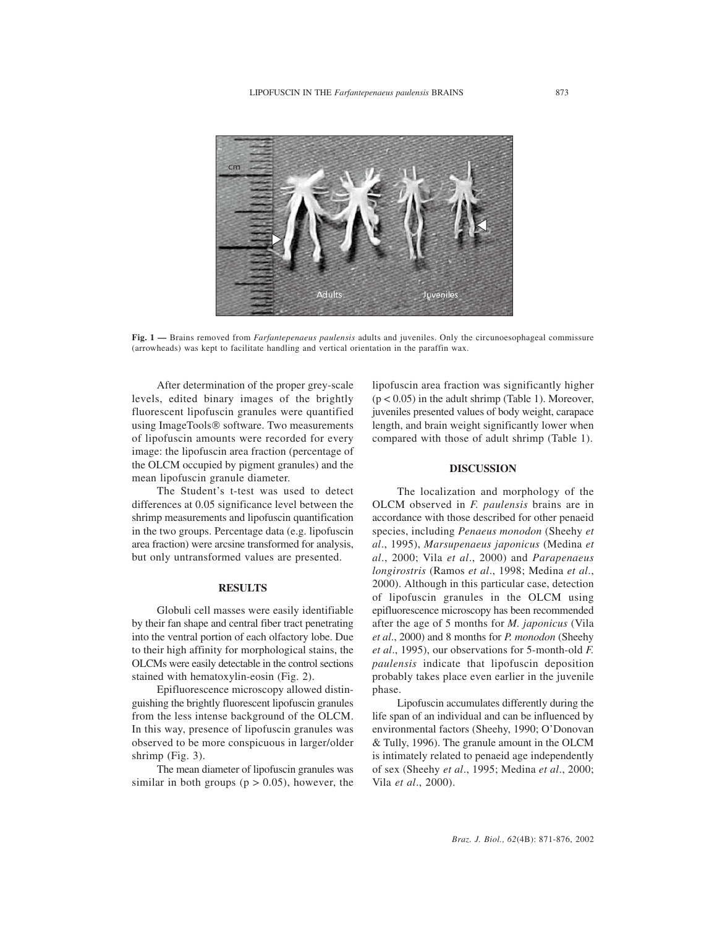

**Fig. 1 —** Brains removed from *Farfantepenaeus paulensis* adults and juveniles. Only the circunoesophageal commissure (arrowheads) was kept to facilitate handling and vertical orientation in the paraffin wax.

After determination of the proper grey-scale levels, edited binary images of the brightly fluorescent lipofuscin granules were quantified using ImageTools® software. Two measurements of lipofuscin amounts were recorded for every image: the lipofuscin area fraction (percentage of the OLCM occupied by pigment granules) and the mean lipofuscin granule diameter.

The Student's t-test was used to detect differences at 0.05 significance level between the shrimp measurements and lipofuscin quantification in the two groups. Percentage data (e.g. lipofuscin area fraction) were arcsine transformed for analysis, but only untransformed values are presented.

#### **RESULTS**

Globuli cell masses were easily identifiable by their fan shape and central fiber tract penetrating into the ventral portion of each olfactory lobe. Due to their high affinity for morphological stains, the OLCMs were easily detectable in the control sections stained with hematoxylin-eosin (Fig. 2).

Epifluorescence microscopy allowed distinguishing the brightly fluorescent lipofuscin granules from the less intense background of the OLCM. In this way, presence of lipofuscin granules was observed to be more conspicuous in larger/older shrimp (Fig. 3).

The mean diameter of lipofuscin granules was similar in both groups ( $p > 0.05$ ), however, the

lipofuscin area fraction was significantly higher  $(p < 0.05)$  in the adult shrimp (Table 1). Moreover, juveniles presented values of body weight, carapace length, and brain weight significantly lower when compared with those of adult shrimp (Table 1).

#### **DISCUSSION**

The localization and morphology of the OLCM observed in *F. paulensis* brains are in accordance with those described for other penaeid species, including *Penaeus monodon* (Sheehy *et al*., 1995), *Marsupenaeus japonicus* (Medina *et al*., 2000; Vila *et al*., 2000) and *Parapenaeus longirostris* (Ramos *et al*., 1998; Medina *et al*., 2000). Although in this particular case, detection of lipofuscin granules in the OLCM using epifluorescence microscopy has been recommended after the age of 5 months for *M. japonicus* (Vila *et al*., 2000) and 8 months for *P. monodon* (Sheehy *et al*., 1995), our observations for 5-month-old *F. paulensis* indicate that lipofuscin deposition probably takes place even earlier in the juvenile phase.

Lipofuscin accumulates differently during the life span of an individual and can be influenced by environmental factors (Sheehy, 1990; O'Donovan & Tully, 1996). The granule amount in the OLCM is intimately related to penaeid age independently of sex (Sheehy *et al*., 1995; Medina *et al*., 2000; Vila *et al*., 2000).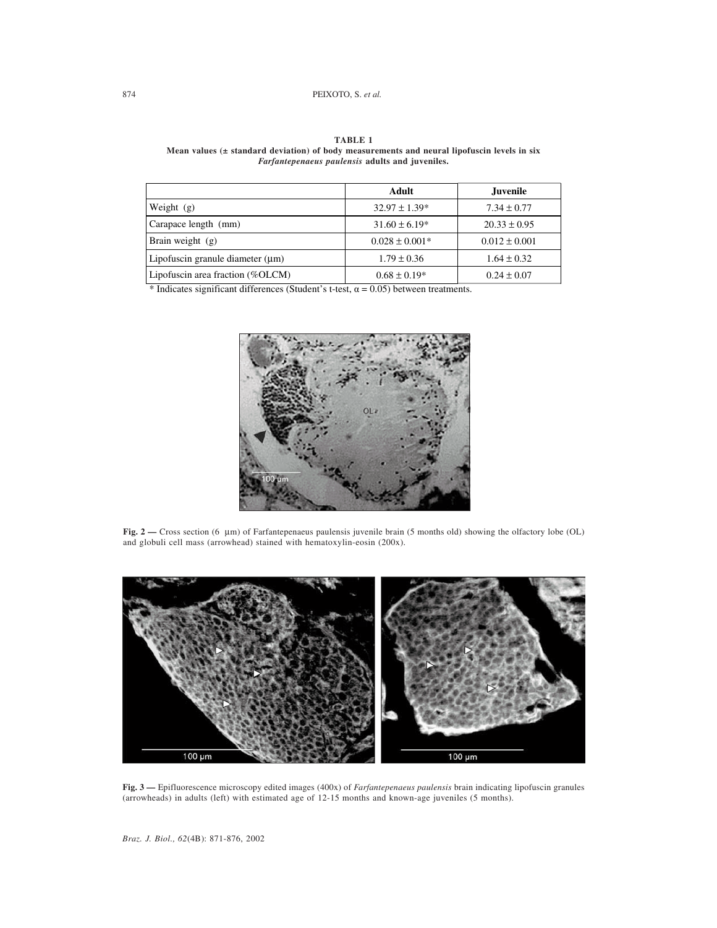#### 874 PEIXOTO, S. *et al.*

|                                       | Adult              | Juvenile          |
|---------------------------------------|--------------------|-------------------|
| Weight $(g)$                          | $32.97 \pm 1.39*$  | $7.34 \pm 0.77$   |
| Carapace length (mm)                  | $31.60 \pm 6.19*$  | $20.33 \pm 0.95$  |
| Brain weight $(g)$                    | $0.028 \pm 0.001*$ | $0.012 \pm 0.001$ |
| Lipofuscin granule diameter $(\mu m)$ | $1.79 \pm 0.36$    | $1.64 \pm 0.32$   |
| Lipofuscin area fraction (%OLCM)      | $0.68 \pm 0.19*$   | $0.24 \pm 0.07$   |

**TABLE 1 Mean values (± standard deviation) of body measurements and neural lipofuscin levels in six** *Farfantepenaeus paulensis* **adults and juveniles.**

\* Indicates significant differences (Student's t-test,  $\alpha = 0.05$ ) between treatments.



**Fig. 2 —** Cross section (6 µm) of Farfantepenaeus paulensis juvenile brain (5 months old) showing the olfactory lobe (OL) and globuli cell mass (arrowhead) stained with hematoxylin-eosin (200x).



**Fig. 3 —** Epifluorescence microscopy edited images (400x) of *Farfantepenaeus paulensis* brain indicating lipofuscin granules (arrowheads) in adults (left) with estimated age of 12-15 months and known-age juveniles (5 months).

*Braz. J. Biol., 62*(4B): 871-876, 2002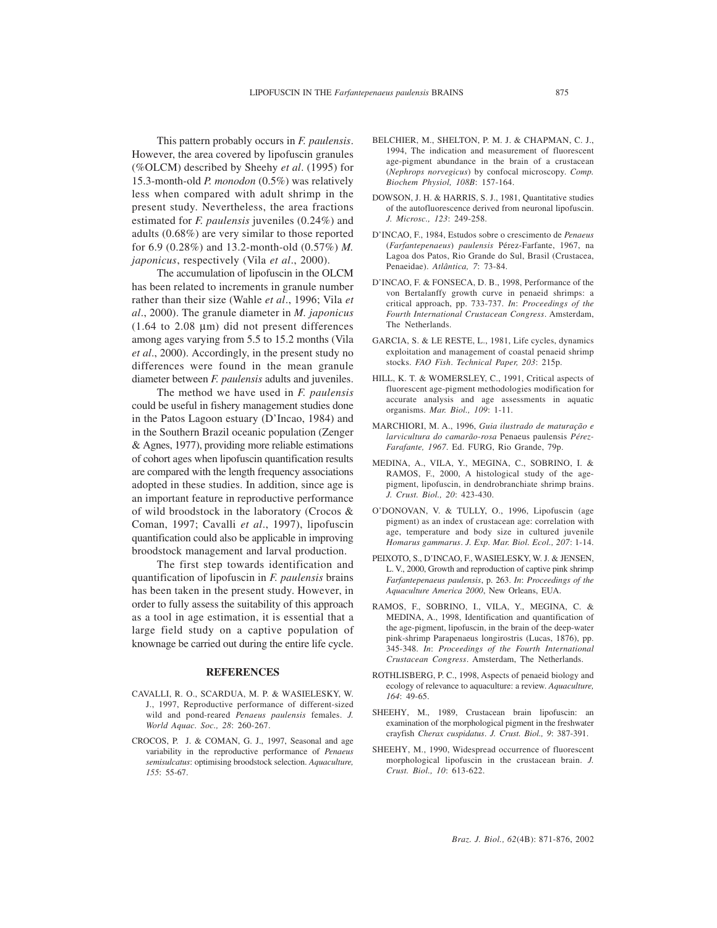This pattern probably occurs in *F. paulensis*. However, the area covered by lipofuscin granules (%OLCM) described by Sheehy *et al*. (1995) for 15.3-month-old *P. monodon* (0.5%) was relatively less when compared with adult shrimp in the present study. Nevertheless, the area fractions estimated for *F. paulensis* juveniles (0.24%) and adults (0.68%) are very similar to those reported for 6.9 (0.28%) and 13.2-month-old (0.57%) *M. japonicus*, respectively (Vila *et al*., 2000).

The accumulation of lipofuscin in the OLCM has been related to increments in granule number rather than their size (Wahle *et al*., 1996; Vila *et al*., 2000). The granule diameter in *M. japonicus*  $(1.64 \text{ to } 2.08 \text{ µm})$  did not present differences among ages varying from 5.5 to 15.2 months (Vila *et al*., 2000). Accordingly, in the present study no differences were found in the mean granule diameter between *F. paulensis* adults and juveniles.

The method we have used in *F. paulensis* could be useful in fishery management studies done in the Patos Lagoon estuary (D'Incao, 1984) and in the Southern Brazil oceanic population (Zenger & Agnes, 1977), providing more reliable estimations of cohort ages when lipofuscin quantification results are compared with the length frequency associations adopted in these studies. In addition, since age is an important feature in reproductive performance of wild broodstock in the laboratory (Crocos & Coman, 1997; Cavalli *et al*., 1997), lipofuscin quantification could also be applicable in improving broodstock management and larval production.

The first step towards identification and quantification of lipofuscin in *F. paulensis* brains has been taken in the present study. However, in order to fully assess the suitability of this approach as a tool in age estimation, it is essential that a large field study on a captive population of knownage be carried out during the entire life cycle.

#### **REFERENCES**

- CAVALLI, R. O., SCARDUA, M. P. & WASIELESKY, W. J., 1997, Reproductive performance of different-sized wild and pond-reared *Penaeus paulensis* females. *J. World Aquac. Soc., 28*: 260-267.
- CROCOS, P. J. & COMAN, G. J., 1997, Seasonal and age variability in the reproductive performance of *Penaeus semisulcatus*: optimising broodstock selection. *Aquaculture, 155*: 55-67.
- BELCHIER, M., SHELTON, P. M. J. & CHAPMAN, C. J., 1994, The indication and measurement of fluorescent age-pigment abundance in the brain of a crustacean (*Nephrops norvegicus*) by confocal microscopy. *Comp. Biochem Physiol, 108B*: 157-164.
- DOWSON, J. H. & HARRIS, S. J., 1981, Quantitative studies of the autofluorescence derived from neuronal lipofuscin. *J. Microsc., 123*: 249-258.
- D'INCAO, F., 1984, Estudos sobre o crescimento de *Penaeus* (*Farfantepenaeus*) *paulensis* Pérez-Farfante, 1967, na Lagoa dos Patos, Rio Grande do Sul, Brasil (Crustacea, Penaeidae). *Atlântica, 7*: 73-84.
- D'INCAO, F. & FONSECA, D. B., 1998, Performance of the von Bertalanffy growth curve in penaeid shrimps: a critical approach, pp. 733-737. *In*: *Proceedings of the Fourth International Crustacean Congress*. Amsterdam, The Netherlands.
- GARCIA, S. & LE RESTE, L., 1981, Life cycles, dynamics exploitation and management of coastal penaeid shrimp stocks. *FAO Fish*. *Technical Paper, 203*: 215p.
- HILL, K. T. & WOMERSLEY, C., 1991, Critical aspects of fluorescent age-pigment methodologies modification for accurate analysis and age assessments in aquatic organisms. *Mar. Biol., 109*: 1-11.
- MARCHIORI, M. A., 1996, *Guia ilustrado de maturação e larvicultura do camarão-rosa* Penaeus paulensis *Pérez-Farafante, 1967*. Ed. FURG, Rio Grande, 79p.
- MEDINA, A., VILA, Y., MEGINA, C., SOBRINO, I. & RAMOS, F., 2000, A histological study of the agepigment, lipofuscin, in dendrobranchiate shrimp brains. *J. Crust. Biol., 20*: 423-430.
- O'DONOVAN, V. & TULLY, O., 1996, Lipofuscin (age pigment) as an index of crustacean age: correlation with age, temperature and body size in cultured juvenile *Homarus gammarus*. *J. Exp. Mar. Biol. Ecol., 207*: 1-14.
- PEIXOTO, S., D'INCAO, F., WASIELESKY, W. J. & JENSEN, L. V., 2000, Growth and reproduction of captive pink shrimp *Farfantepenaeus paulensis*, p. 263. *In*: *Proceedings of the Aquaculture America 2000*, New Orleans, EUA.
- RAMOS, F., SOBRINO, I., VILA, Y., MEGINA, C. & MEDINA, A., 1998, Identification and quantification of the age-pigment, lipofuscin, in the brain of the deep-water pink-shrimp Parapenaeus longirostris (Lucas, 1876), pp. 345-348. *In*: *Proceedings of the Fourth International Crustacean Congress*. Amsterdam, The Netherlands.
- ROTHLISBERG, P. C., 1998, Aspects of penaeid biology and ecology of relevance to aquaculture: a review. *Aquaculture, 164*: 49-65.
- SHEEHY, M., 1989, Crustacean brain lipofuscin: an examination of the morphological pigment in the freshwater crayfish *Cherax cuspidatus*. *J. Crust. Biol., 9*: 387-391.
- SHEEHY, M., 1990, Widespread occurrence of fluorescent morphological lipofuscin in the crustacean brain. *J. Crust. Biol., 10*: 613-622.